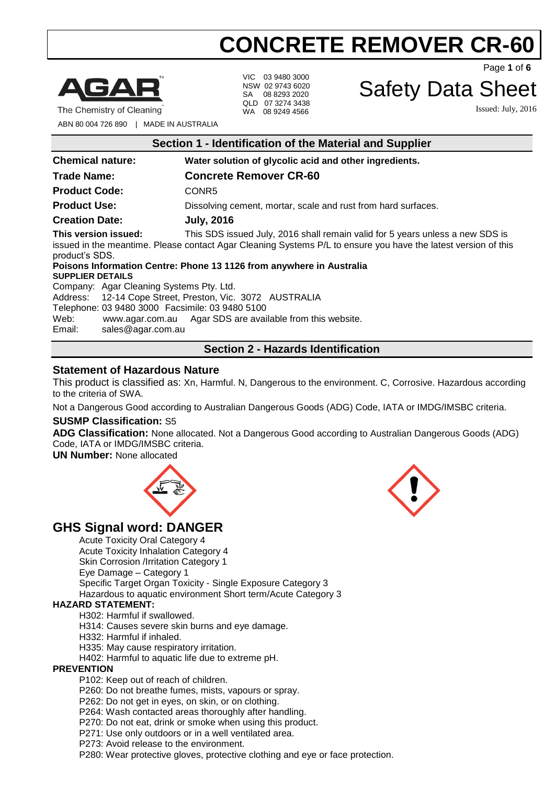

The Chemistry of Cleaning

VIC 03 9480 3000 NSW 02 9743 6020 SA 08 8293 2020 QLD 07 3274 3438 WA 08 9249 4566

Page **1** of **6**

# Safety Data Sheet

Issued: July, 2016

ABN 80 004 726 890 | MADE IN AUSTRALIA

| Section 1 - Identification of the Material and Supplier                                                                                                                                                                                   |                                                               |  |
|-------------------------------------------------------------------------------------------------------------------------------------------------------------------------------------------------------------------------------------------|---------------------------------------------------------------|--|
| <b>Chemical nature:</b>                                                                                                                                                                                                                   | Water solution of glycolic acid and other ingredients.        |  |
| <b>Trade Name:</b>                                                                                                                                                                                                                        | <b>Concrete Remover CR-60</b>                                 |  |
| <b>Product Code:</b>                                                                                                                                                                                                                      | CONR <sub>5</sub>                                             |  |
| <b>Product Use:</b>                                                                                                                                                                                                                       | Dissolving cement, mortar, scale and rust from hard surfaces. |  |
| <b>Creation Date:</b>                                                                                                                                                                                                                     | <b>July, 2016</b>                                             |  |
| This version issued:<br>This SDS issued July, 2016 shall remain valid for 5 years unless a new SDS is<br>issued in the meantime. Please contact Agar Cleaning Systems P/L to ensure you have the latest version of this<br>product's SDS. |                                                               |  |
| Poisons Information Centre: Phone 13 1126 from anywhere in Australia<br><b>SUPPLIER DETAILS</b>                                                                                                                                           |                                                               |  |
| Company: Agar Cleaning Systems Pty. Ltd.                                                                                                                                                                                                  |                                                               |  |
| Address: 12-14 Cope Street, Preston, Vic. 3072 AUSTRALIA                                                                                                                                                                                  |                                                               |  |
| Telephone: 03 9480 3000 Facsimile: 03 9480 5100                                                                                                                                                                                           |                                                               |  |
| Web:                                                                                                                                                                                                                                      | www.agar.com.au Agar SDS are available from this website.     |  |
| Email:<br>sales@agar.com.au                                                                                                                                                                                                               |                                                               |  |
| <b>Section 2 - Hazards Identification</b>                                                                                                                                                                                                 |                                                               |  |

# **Statement of Hazardous Nature**

This product is classified as: Xn, Harmful. N, Dangerous to the environment. C, Corrosive. Hazardous according to the criteria of SWA.

Not a Dangerous Good according to Australian Dangerous Goods (ADG) Code, IATA or IMDG/IMSBC criteria.

# **SUSMP Classification:** S5

**ADG Classification:** None allocated. Not a Dangerous Good according to Australian Dangerous Goods (ADG) Code, IATA or IMDG/IMSBC criteria.

**UN Number:** None allocated



# **GHS Signal word: DANGER**

Acute Toxicity Oral Category 4 Acute Toxicity Inhalation Category 4 Skin Corrosion /Irritation Category 1 Eye Damage – Category 1 Specific Target Organ Toxicity - Single Exposure Category 3 Hazardous to aquatic environment Short term/Acute Category 3

#### **HAZARD STATEMENT:**

- H302: Harmful if swallowed.
- H314: Causes severe skin burns and eye damage.
- H332: Harmful if inhaled.
- H335: May cause respiratory irritation.
- H402: Harmful to aquatic life due to extreme pH.

#### **PREVENTION**

P102: Keep out of reach of children.

P260: Do not breathe fumes, mists, vapours or spray.

P262: Do not get in eyes, on skin, or on clothing.

P264: Wash contacted areas thoroughly after handling.

- P270: Do not eat, drink or smoke when using this product.
- P271: Use only outdoors or in a well ventilated area.
- P273: Avoid release to the environment.

P280: Wear protective gloves, protective clothing and eye or face protection.

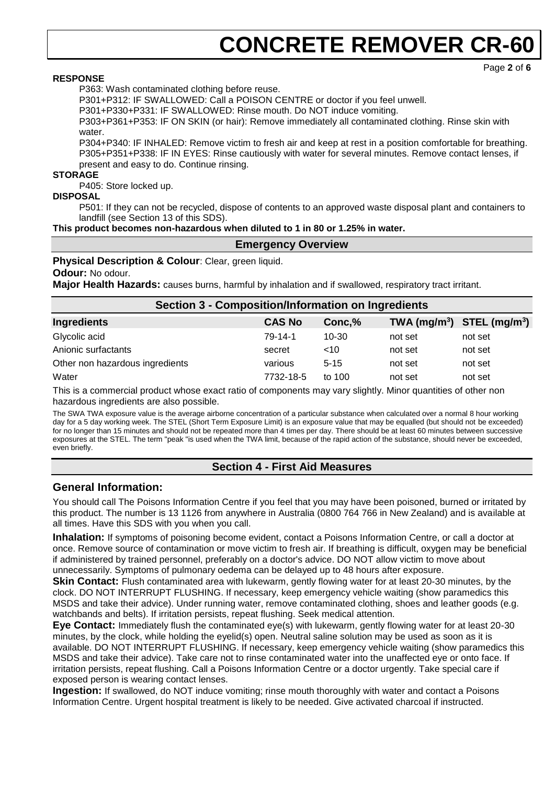#### **RESPONSE**

P363: Wash contaminated clothing before reuse.

P301+P312: IF SWALLOWED: Call a POISON CENTRE or doctor if you feel unwell.

P301+P330+P331: IF SWALLOWED: Rinse mouth. Do NOT induce vomiting.

P303+P361+P353: IF ON SKIN (or hair): Remove immediately all contaminated clothing. Rinse skin with water.

P304+P340: IF INHALED: Remove victim to fresh air and keep at rest in a position comfortable for breathing. P305+P351+P338: IF IN EYES: Rinse cautiously with water for several minutes. Remove contact lenses, if present and easy to do. Continue rinsing.

#### **STORAGE**

P405: Store locked up.

#### **DISPOSAL**

P501: If they can not be recycled, dispose of contents to an approved waste disposal plant and containers to landfill (see Section 13 of this SDS).

**This product becomes non-hazardous when diluted to 1 in 80 or 1.25% in water.**

#### **Emergency Overview**

**Physical Description & Colour**: Clear, green liquid.

#### **Odour:** No odour.

**Major Health Hazards:** causes burns, harmful by inhalation and if swallowed, respiratory tract irritant.

|                                                                                                                       | <b>Section 3 - Composition/Information on Ingredients</b> |           |         |                                |
|-----------------------------------------------------------------------------------------------------------------------|-----------------------------------------------------------|-----------|---------|--------------------------------|
| Ingredients                                                                                                           | <b>CAS No</b>                                             | Conc,%    |         | TWA $(mg/m^3)$ STEL $(mg/m^3)$ |
| Glycolic acid                                                                                                         | 79-14-1                                                   | $10 - 30$ | not set | not set                        |
| Anionic surfactants                                                                                                   | secret                                                    | <10       | not set | not set                        |
| Other non hazardous ingredients                                                                                       | various                                                   | $5 - 15$  | not set | not set                        |
| Water                                                                                                                 | 7732-18-5                                                 | to $100$  | not set | not set                        |
| This is a common state that the season and state of common state manners will state. Alloca and statefied of attenues |                                                           |           |         |                                |

This is a commercial product whose exact ratio of components may vary slightly. Minor quantities of other non hazardous ingredients are also possible.

The SWA TWA exposure value is the average airborne concentration of a particular substance when calculated over a normal 8 hour working day for a 5 day working week. The STEL (Short Term Exposure Limit) is an exposure value that may be equalled (but should not be exceeded) for no longer than 15 minutes and should not be repeated more than 4 times per day. There should be at least 60 minutes between successive exposures at the STEL. The term "peak "is used when the TWA limit, because of the rapid action of the substance, should never be exceeded, even briefly.

# **Section 4 - First Aid Measures**

### **General Information:**

You should call The Poisons Information Centre if you feel that you may have been poisoned, burned or irritated by this product. The number is 13 1126 from anywhere in Australia (0800 764 766 in New Zealand) and is available at all times. Have this SDS with you when you call.

**Inhalation:** If symptoms of poisoning become evident, contact a Poisons Information Centre, or call a doctor at once. Remove source of contamination or move victim to fresh air. If breathing is difficult, oxygen may be beneficial if administered by trained personnel, preferably on a doctor's advice. DO NOT allow victim to move about unnecessarily. Symptoms of pulmonary oedema can be delayed up to 48 hours after exposure.

**Skin Contact:** Flush contaminated area with lukewarm, gently flowing water for at least 20-30 minutes, by the clock. DO NOT INTERRUPT FLUSHING. If necessary, keep emergency vehicle waiting (show paramedics this MSDS and take their advice). Under running water, remove contaminated clothing, shoes and leather goods (e.g. watchbands and belts). If irritation persists, repeat flushing. Seek medical attention.

**Eye Contact:** Immediately flush the contaminated eye(s) with lukewarm, gently flowing water for at least 20-30 minutes, by the clock, while holding the eyelid(s) open. Neutral saline solution may be used as soon as it is available. DO NOT INTERRUPT FLUSHING. If necessary, keep emergency vehicle waiting (show paramedics this MSDS and take their advice). Take care not to rinse contaminated water into the unaffected eye or onto face. If irritation persists, repeat flushing. Call a Poisons Information Centre or a doctor urgently. Take special care if exposed person is wearing contact lenses.

**Ingestion:** If swallowed, do NOT induce vomiting; rinse mouth thoroughly with water and contact a Poisons Information Centre. Urgent hospital treatment is likely to be needed. Give activated charcoal if instructed.

Page **2** of **6**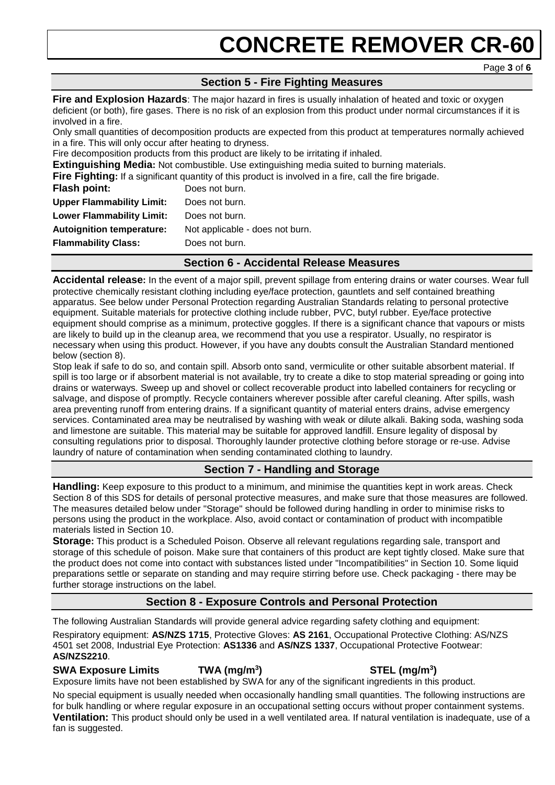# **Section 5 - Fire Fighting Measures**

**Fire and Explosion Hazards**: The major hazard in fires is usually inhalation of heated and toxic or oxygen deficient (or both), fire gases. There is no risk of an explosion from this product under normal circumstances if it is involved in a fire.

Only small quantities of decomposition products are expected from this product at temperatures normally achieved in a fire. This will only occur after heating to dryness.

Fire decomposition products from this product are likely to be irritating if inhaled.

**Extinguishing Media:** Not combustible. Use extinguishing media suited to burning materials.

**Fire Fighting:** If a significant quantity of this product is involved in a fire, call the fire brigade.

| Flash point:                     | Does not burn.                  |
|----------------------------------|---------------------------------|
| <b>Upper Flammability Limit:</b> | Does not burn.                  |
| <b>Lower Flammability Limit:</b> | Does not burn.                  |
| <b>Autoignition temperature:</b> | Not applicable - does not burn. |
| <b>Flammability Class:</b>       | Does not burn.                  |
|                                  |                                 |

# **Section 6 - Accidental Release Measures**

**Accidental release:** In the event of a major spill, prevent spillage from entering drains or water courses. Wear full protective chemically resistant clothing including eye/face protection, gauntlets and self contained breathing apparatus. See below under Personal Protection regarding Australian Standards relating to personal protective equipment. Suitable materials for protective clothing include rubber, PVC, butyl rubber. Eye/face protective equipment should comprise as a minimum, protective goggles. If there is a significant chance that vapours or mists are likely to build up in the cleanup area, we recommend that you use a respirator. Usually, no respirator is necessary when using this product. However, if you have any doubts consult the Australian Standard mentioned below (section 8).

Stop leak if safe to do so, and contain spill. Absorb onto sand, vermiculite or other suitable absorbent material. If spill is too large or if absorbent material is not available, try to create a dike to stop material spreading or going into drains or waterways. Sweep up and shovel or collect recoverable product into labelled containers for recycling or salvage, and dispose of promptly. Recycle containers wherever possible after careful cleaning. After spills, wash area preventing runoff from entering drains. If a significant quantity of material enters drains, advise emergency services. Contaminated area may be neutralised by washing with weak or dilute alkali. Baking soda, washing soda and limestone are suitable. This material may be suitable for approved landfill. Ensure legality of disposal by consulting regulations prior to disposal. Thoroughly launder protective clothing before storage or re-use. Advise laundry of nature of contamination when sending contaminated clothing to laundry.

# **Section 7 - Handling and Storage**

**Handling:** Keep exposure to this product to a minimum, and minimise the quantities kept in work areas. Check Section 8 of this SDS for details of personal protective measures, and make sure that those measures are followed. The measures detailed below under "Storage" should be followed during handling in order to minimise risks to persons using the product in the workplace. Also, avoid contact or contamination of product with incompatible materials listed in Section 10.

**Storage:** This product is a Scheduled Poison. Observe all relevant regulations regarding sale, transport and storage of this schedule of poison. Make sure that containers of this product are kept tightly closed. Make sure that the product does not come into contact with substances listed under "Incompatibilities" in Section 10. Some liquid preparations settle or separate on standing and may require stirring before use. Check packaging - there may be further storage instructions on the label.

# **Section 8 - Exposure Controls and Personal Protection**

The following Australian Standards will provide general advice regarding safety clothing and equipment:

Respiratory equipment: **AS/NZS 1715**, Protective Gloves: **AS 2161**, Occupational Protective Clothing: AS/NZS 4501 set 2008, Industrial Eye Protection: **AS1336** and **AS/NZS 1337**, Occupational Protective Footwear: **AS/NZS2210**.

**SWA Exposure Limits TWA (mg/m<sup>3</sup>**

### **) STEL (mg/m<sup>3</sup> )**

Exposure limits have not been established by SWA for any of the significant ingredients in this product.

No special equipment is usually needed when occasionally handling small quantities. The following instructions are for bulk handling or where regular exposure in an occupational setting occurs without proper containment systems. **Ventilation:** This product should only be used in a well ventilated area. If natural ventilation is inadequate, use of a fan is suggested.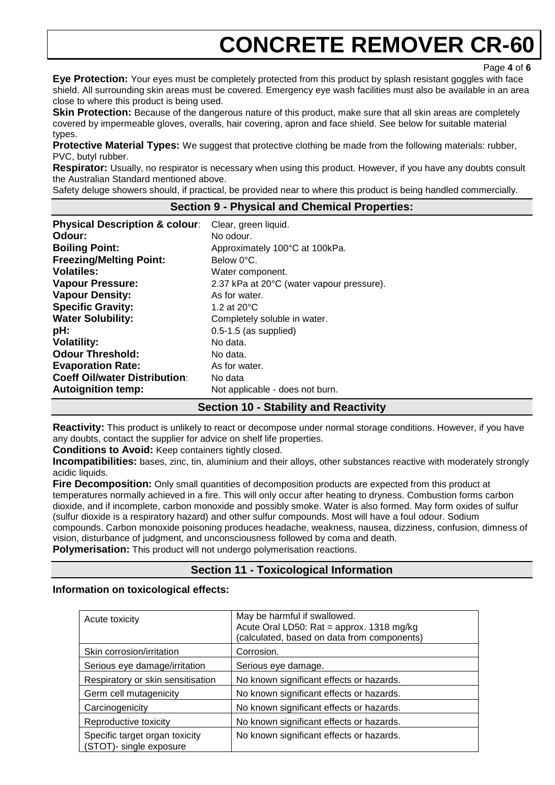Page **4** of **6**

**Eye Protection:** Your eyes must be completely protected from this product by splash resistant goggles with face shield. All surrounding skin areas must be covered. Emergency eye wash facilities must also be available in an area close to where this product is being used.

**Skin Protection:** Because of the dangerous nature of this product, make sure that all skin areas are completely covered by impermeable gloves, overalls, hair covering, apron and face shield. See below for suitable material types.

**Protective Material Types:** We suggest that protective clothing be made from the following materials: rubber, PVC, butyl rubber.

**Respirator:** Usually, no respirator is necessary when using this product. However, if you have any doubts consult the Australian Standard mentioned above.

Safety deluge showers should, if practical, be provided near to where this product is being handled commercially.

#### **Section 9 - Physical and Chemical Properties:**

| <b>Physical Description &amp; colour:</b> | Clear, green liquid.                      |
|-------------------------------------------|-------------------------------------------|
| Odour:                                    | No odour.                                 |
| <b>Boiling Point:</b>                     | Approximately 100°C at 100kPa.            |
| <b>Freezing/Melting Point:</b>            | Below 0°C.                                |
| <b>Volatiles:</b>                         | Water component.                          |
| <b>Vapour Pressure:</b>                   | 2.37 kPa at 20°C (water vapour pressure). |
| <b>Vapour Density:</b>                    | As for water.                             |
| <b>Specific Gravity:</b>                  | 1.2 at $20^{\circ}$ C                     |
| <b>Water Solubility:</b>                  | Completely soluble in water.              |
| pH:                                       | $0.5-1.5$ (as supplied)                   |
| <b>Volatility:</b>                        | No data.                                  |
| <b>Odour Threshold:</b>                   | No data.                                  |
| <b>Evaporation Rate:</b>                  | As for water.                             |
| <b>Coeff Oil/water Distribution:</b>      | No data                                   |
| <b>Autoignition temp:</b>                 | Not applicable - does not burn.           |

### **Section 10 - Stability and Reactivity**

**Reactivity:** This product is unlikely to react or decompose under normal storage conditions. However, if you have any doubts, contact the supplier for advice on shelf life properties.

**Conditions to Avoid:** Keep containers tightly closed.

**Incompatibilities:** bases, zinc, tin, aluminium and their alloys, other substances reactive with moderately strongly acidic liquids.

**Fire Decomposition:** Only small quantities of decomposition products are expected from this product at temperatures normally achieved in a fire. This will only occur after heating to dryness. Combustion forms carbon dioxide, and if incomplete, carbon monoxide and possibly smoke. Water is also formed. May form oxides of sulfur (sulfur dioxide is a respiratory hazard) and other sulfur compounds. Most will have a foul odour. Sodium compounds. Carbon monoxide poisoning produces headache, weakness, nausea, dizziness, confusion, dimness of vision, disturbance of judgment, and unconsciousness followed by coma and death.

**Polymerisation:** This product will not undergo polymerisation reactions.

# **Section 11 - Toxicological Information**

#### **Information on toxicological effects:**

| Acute toxicity                                            | May be harmful if swallowed.<br>Acute Oral LD50: Rat = approx. 1318 mg/kg<br>(calculated, based on data from components) |
|-----------------------------------------------------------|--------------------------------------------------------------------------------------------------------------------------|
| Skin corrosion/irritation                                 | Corrosion.                                                                                                               |
| Serious eye damage/irritation                             | Serious eye damage.                                                                                                      |
| Respiratory or skin sensitisation                         | No known significant effects or hazards.                                                                                 |
| Germ cell mutagenicity                                    | No known significant effects or hazards.                                                                                 |
| Carcinogenicity                                           | No known significant effects or hazards.                                                                                 |
| Reproductive toxicity                                     | No known significant effects or hazards.                                                                                 |
| Specific target organ toxicity<br>(STOT)- single exposure | No known significant effects or hazards.                                                                                 |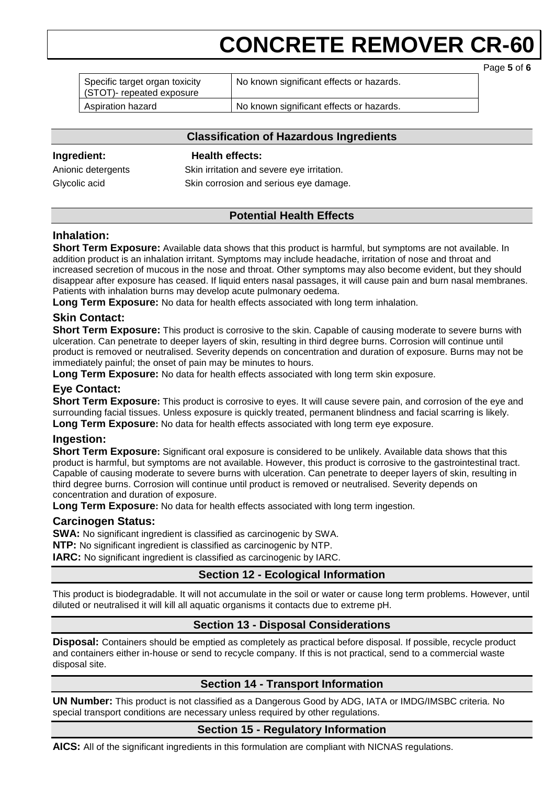Page **5** of **6**

| Specific target organ toxicity<br>(STOT)- repeated exposure | No known significant effects or hazards. |  |
|-------------------------------------------------------------|------------------------------------------|--|
| Aspiration hazard                                           | No known significant effects or hazards. |  |

### **Classification of Hazardous Ingredients**

#### **Ingredient: Health effects:**

Anionic detergents Skin irritation and severe eye irritation. Glycolic acid Skin corrosion and serious eye damage.

# **Potential Health Effects**

# **Inhalation:**

**Short Term Exposure:** Available data shows that this product is harmful, but symptoms are not available. In addition product is an inhalation irritant. Symptoms may include headache, irritation of nose and throat and increased secretion of mucous in the nose and throat. Other symptoms may also become evident, but they should disappear after exposure has ceased. If liquid enters nasal passages, it will cause pain and burn nasal membranes. Patients with inhalation burns may develop acute pulmonary oedema.

**Long Term Exposure:** No data for health effects associated with long term inhalation.

# **Skin Contact:**

**Short Term Exposure:** This product is corrosive to the skin. Capable of causing moderate to severe burns with ulceration. Can penetrate to deeper layers of skin, resulting in third degree burns. Corrosion will continue until product is removed or neutralised. Severity depends on concentration and duration of exposure. Burns may not be immediately painful; the onset of pain may be minutes to hours.

**Long Term Exposure:** No data for health effects associated with long term skin exposure.

# **Eye Contact:**

**Short Term Exposure:** This product is corrosive to eyes. It will cause severe pain, and corrosion of the eye and surrounding facial tissues. Unless exposure is quickly treated, permanent blindness and facial scarring is likely. **Long Term Exposure:** No data for health effects associated with long term eye exposure.

# **Ingestion:**

**Short Term Exposure:** Significant oral exposure is considered to be unlikely. Available data shows that this product is harmful, but symptoms are not available. However, this product is corrosive to the gastrointestinal tract. Capable of causing moderate to severe burns with ulceration. Can penetrate to deeper layers of skin, resulting in third degree burns. Corrosion will continue until product is removed or neutralised. Severity depends on concentration and duration of exposure.

**Long Term Exposure:** No data for health effects associated with long term ingestion.

# **Carcinogen Status:**

**SWA:** No significant ingredient is classified as carcinogenic by SWA.

**NTP:** No significant ingredient is classified as carcinogenic by NTP.

**IARC:** No significant ingredient is classified as carcinogenic by IARC.

# **Section 12 - Ecological Information**

This product is biodegradable. It will not accumulate in the soil or water or cause long term problems. However, until diluted or neutralised it will kill all aquatic organisms it contacts due to extreme pH.

# **Section 13 - Disposal Considerations**

**Disposal:** Containers should be emptied as completely as practical before disposal. If possible, recycle product and containers either in-house or send to recycle company. If this is not practical, send to a commercial waste disposal site.

# **Section 14 - Transport Information**

**UN Number:** This product is not classified as a Dangerous Good by ADG, IATA or IMDG/IMSBC criteria. No special transport conditions are necessary unless required by other regulations.

# **Section 15 - Regulatory Information**

**AICS:** All of the significant ingredients in this formulation are compliant with NICNAS regulations.